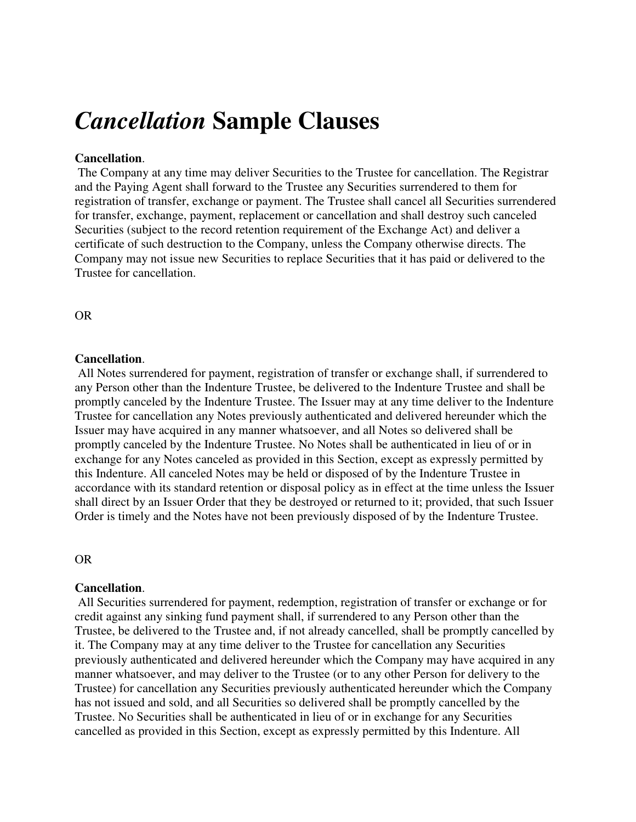# *Cancellation* **Sample Clauses**

#### **Cancellation**.

 The Company at any time may deliver Securities to the Trustee for cancellation. The Registrar and the Paying Agent shall forward to the Trustee any Securities surrendered to them for registration of transfer, exchange or payment. The Trustee shall cancel all Securities surrendered for transfer, exchange, payment, replacement or cancellation and shall destroy such canceled Securities (subject to the record retention requirement of the Exchange Act) and deliver a certificate of such destruction to the Company, unless the Company otherwise directs. The Company may not issue new Securities to replace Securities that it has paid or delivered to the Trustee for cancellation.

OR

## **Cancellation**.

 All Notes surrendered for payment, registration of transfer or exchange shall, if surrendered to any Person other than the Indenture Trustee, be delivered to the Indenture Trustee and shall be promptly canceled by the Indenture Trustee. The Issuer may at any time deliver to the Indenture Trustee for cancellation any Notes previously authenticated and delivered hereunder which the Issuer may have acquired in any manner whatsoever, and all Notes so delivered shall be promptly canceled by the Indenture Trustee. No Notes shall be authenticated in lieu of or in exchange for any Notes canceled as provided in this Section, except as expressly permitted by this Indenture. All canceled Notes may be held or disposed of by the Indenture Trustee in accordance with its standard retention or disposal policy as in effect at the time unless the Issuer shall direct by an Issuer Order that they be destroyed or returned to it; provided, that such Issuer Order is timely and the Notes have not been previously disposed of by the Indenture Trustee.

#### OR

#### **Cancellation**.

 All Securities surrendered for payment, redemption, registration of transfer or exchange or for credit against any sinking fund payment shall, if surrendered to any Person other than the Trustee, be delivered to the Trustee and, if not already cancelled, shall be promptly cancelled by it. The Company may at any time deliver to the Trustee for cancellation any Securities previously authenticated and delivered hereunder which the Company may have acquired in any manner whatsoever, and may deliver to the Trustee (or to any other Person for delivery to the Trustee) for cancellation any Securities previously authenticated hereunder which the Company has not issued and sold, and all Securities so delivered shall be promptly cancelled by the Trustee. No Securities shall be authenticated in lieu of or in exchange for any Securities cancelled as provided in this Section, except as expressly permitted by this Indenture. All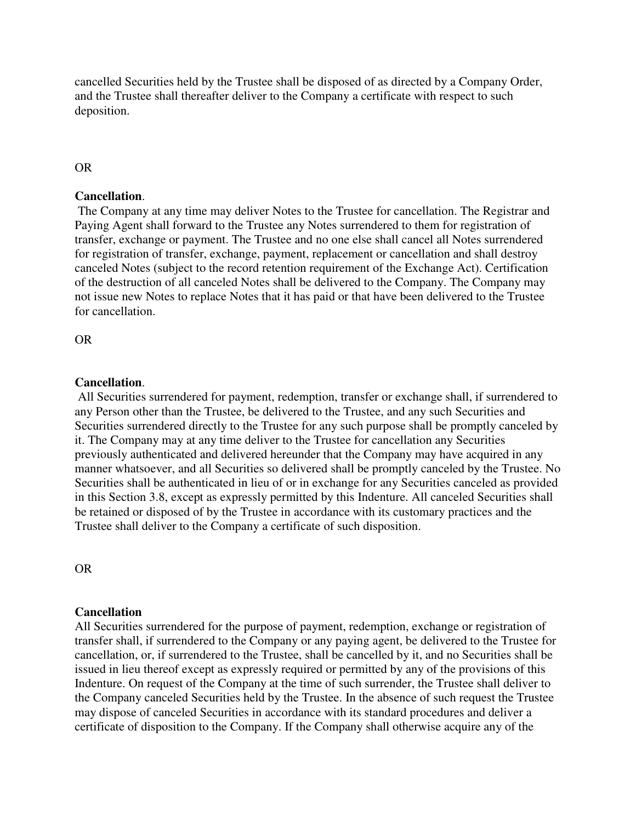cancelled Securities held by the Trustee shall be disposed of as directed by a Company Order, and the Trustee shall thereafter deliver to the Company a certificate with respect to such deposition.

# OR

## **Cancellation**.

 The Company at any time may deliver Notes to the Trustee for cancellation. The Registrar and Paying Agent shall forward to the Trustee any Notes surrendered to them for registration of transfer, exchange or payment. The Trustee and no one else shall cancel all Notes surrendered for registration of transfer, exchange, payment, replacement or cancellation and shall destroy canceled Notes (subject to the record retention requirement of the Exchange Act). Certification of the destruction of all canceled Notes shall be delivered to the Company. The Company may not issue new Notes to replace Notes that it has paid or that have been delivered to the Trustee for cancellation.

OR

## **Cancellation**.

 All Securities surrendered for payment, redemption, transfer or exchange shall, if surrendered to any Person other than the Trustee, be delivered to the Trustee, and any such Securities and Securities surrendered directly to the Trustee for any such purpose shall be promptly canceled by it. The Company may at any time deliver to the Trustee for cancellation any Securities previously authenticated and delivered hereunder that the Company may have acquired in any manner whatsoever, and all Securities so delivered shall be promptly canceled by the Trustee. No Securities shall be authenticated in lieu of or in exchange for any Securities canceled as provided in this Section 3.8, except as expressly permitted by this Indenture. All canceled Securities shall be retained or disposed of by the Trustee in accordance with its customary practices and the Trustee shall deliver to the Company a certificate of such disposition.

OR

# **Cancellation**

All Securities surrendered for the purpose of payment, redemption, exchange or registration of transfer shall, if surrendered to the Company or any paying agent, be delivered to the Trustee for cancellation, or, if surrendered to the Trustee, shall be cancelled by it, and no Securities shall be issued in lieu thereof except as expressly required or permitted by any of the provisions of this Indenture. On request of the Company at the time of such surrender, the Trustee shall deliver to the Company canceled Securities held by the Trustee. In the absence of such request the Trustee may dispose of canceled Securities in accordance with its standard procedures and deliver a certificate of disposition to the Company. If the Company shall otherwise acquire any of the